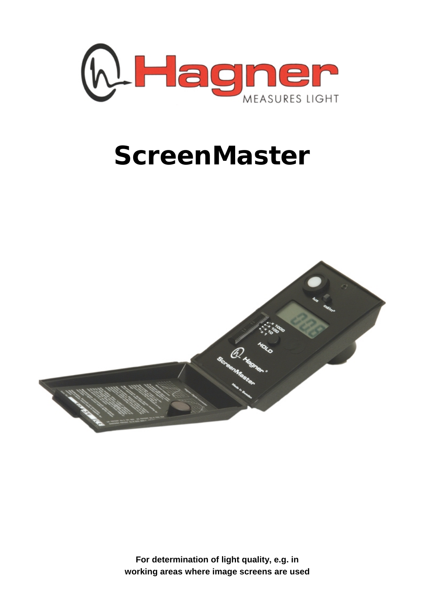

# **ScreenMaster**



**For determination of light quality, e.g. in working areas where image screens are used**